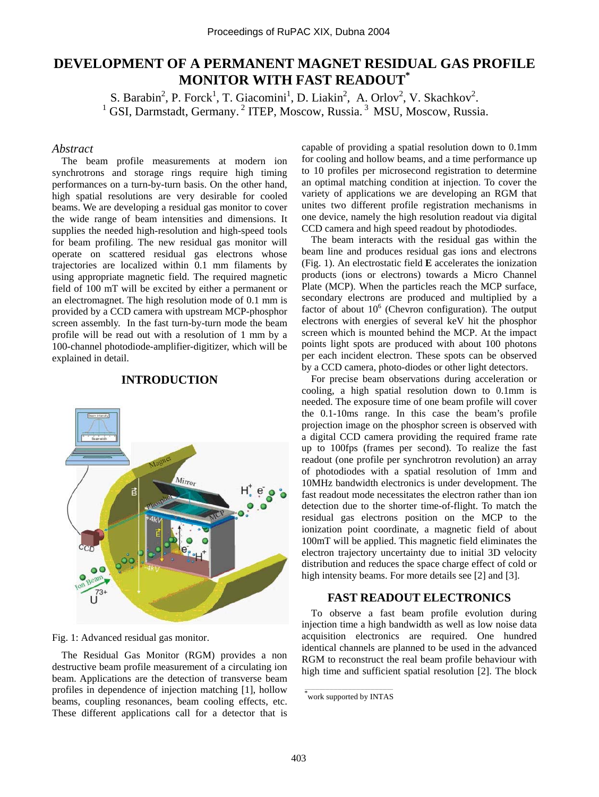# **DEVELOPMENT OF A PERMANENT MAGNET RESIDUAL GAS PROFILE MONITOR WITH FAST READOUT\***

S. Barabin<sup>2</sup>, P. Forck<sup>1</sup>, T. Giacomini<sup>1</sup>, D. Liakin<sup>2</sup>, A. Orlov<sup>2</sup>, V. Skachkov<sup>2</sup>  $1$  GSI, Darmstadt, Germany.<sup>2</sup> ITEP, Moscow, Russia.<sup>3</sup> MSU, Moscow, Russia.

### *Abstract*

The beam profile measurements at modern ion synchrotrons and storage rings require high timing performances on a turn-by-turn basis. On the other hand, high spatial resolutions are very desirable for cooled beams. We are developing a residual gas monitor to cover the wide range of beam intensities and dimensions. It supplies the needed high-resolution and high-speed tools for beam profiling. The new residual gas monitor will operate on scattered residual gas electrons whose trajectories are localized within 0.1 mm filaments by using appropriate magnetic field. The required magnetic field of 100 mT will be excited by either a permanent or an electromagnet. The high resolution mode of 0.1 mm is provided by a CCD camera with upstream MCP-phosphor screen assembly. In the fast turn-by-turn mode the beam profile will be read out with a resolution of 1 mm by a 100-channel photodiode-amplifier-digitizer, which will be explained in detail.

# **INTRODUCTION**



Fig. 1: Advanced residual gas monitor.

The Residual Gas Monitor (RGM) provides a non destructive beam profile measurement of a circulating ion beam. Applications are the detection of transverse beam profiles in dependence of injection matching [1], hollow beams, coupling resonances, beam cooling effects, etc. These different applications call for a detector that is

capable of providing a spatial resolution down to 0.1mm for cooling and hollow beams, and a time performance up to 10 profiles per microsecond registration to determine an optimal matching condition at injection. To cover the variety of applications we are developing an RGM that unites two different profile registration mechanisms in one device, namely the high resolution readout via digital CCD camera and high speed readout by photodiodes.

The beam interacts with the residual gas within the beam line and produces residual gas ions and electrons (Fig. 1). An electrostatic field **E** accelerates the ionization products (ions or electrons) towards a Micro Channel Plate (MCP). When the particles reach the MCP surface, secondary electrons are produced and multiplied by a factor of about  $10^6$  (Chevron configuration). The output electrons with energies of several keV hit the phosphor screen which is mounted behind the MCP. At the impact points light spots are produced with about 100 photons per each incident electron. These spots can be observed by a CCD camera, photo-diodes or other light detectors.

For precise beam observations during acceleration or cooling, a high spatial resolution down to 0.1mm is needed. The exposure time of one beam profile will cover the 0.1-10ms range. In this case the beam's profile projection image on the phosphor screen is observed with a digital CCD camera providing the required frame rate up to 100fps (frames per second). To realize the fast readout (one profile per synchrotron revolution) an array of photodiodes with a spatial resolution of 1mm and 10MHz bandwidth electronics is under development. The fast readout mode necessitates the electron rather than ion detection due to the shorter time-of-flight. To match the residual gas electrons position on the MCP to the ionization point coordinate, a magnetic field of about 100mT will be applied. This magnetic field eliminates the electron trajectory uncertainty due to initial 3D velocity distribution and reduces the space charge effect of cold or high intensity beams. For more details see [2] and [3].

# **FAST READOUT ELECTRONICS**

To observe a fast beam profile evolution during injection time a high bandwidth as well as low noise data acquisition electronics are required. One hundred identical channels are planned to be used in the advanced RGM to reconstruct the real beam profile behaviour with high time and sufficient spatial resolution [2]. The block

 $\mathcal{L}=\mathcal{L}=\mathcal{L}=\mathcal{L}=\mathcal{L}=\mathcal{L}=\mathcal{L}=\mathcal{L}=\mathcal{L}=\mathcal{L}=\mathcal{L}=\mathcal{L}=\mathcal{L}=\mathcal{L}=\mathcal{L}=\mathcal{L}=\mathcal{L}=\mathcal{L}=\mathcal{L}=\mathcal{L}=\mathcal{L}=\mathcal{L}=\mathcal{L}=\mathcal{L}=\mathcal{L}=\mathcal{L}=\mathcal{L}=\mathcal{L}=\mathcal{L}=\mathcal{L}=\mathcal{L}=\mathcal{L}=\mathcal{L}=\mathcal{L}=\mathcal{L}=\mathcal{L}=\mathcal{$ \* work supported by INTAS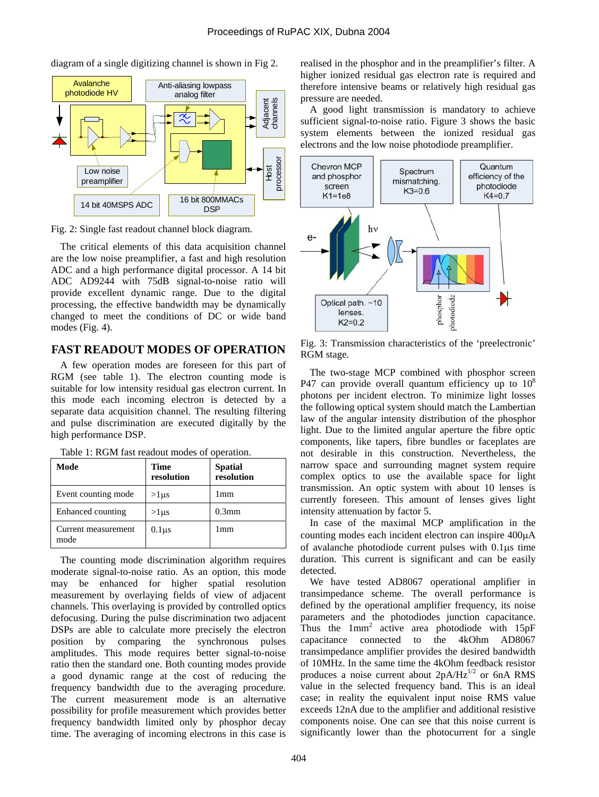Low noise preamplifier Anti-aliasing lowpass analog filter 14 bit 40MSPS ADC 16 bit 800MMACs **DSP** Adjacent channels Host<br>processor Avalanche photodiode HV

diagram of a single digitizing channel is shown in Fig 2.

Fig. 2: Single fast readout channel block diagram.

The critical elements of this data acquisition channel are the low noise preamplifier, a fast and high resolution ADC and a high performance digital processor. A 14 bit ADC AD9244 with 75dB signal-to-noise ratio will provide excellent dynamic range. Due to the digital processing, the effective bandwidth may be dynamically changed to meet the conditions of DC or wide band modes (Fig. 4).

# **FAST READOUT MODES OF OPERATION**

A few operation modes are foreseen for this part of RGM (see table 1). The electron counting mode is suitable for low intensity residual gas electron current. In this mode each incoming electron is detected by a separate data acquisition channel. The resulting filtering and pulse discrimination are executed digitally by the high performance DSP.

| Table 1: RGM fast readout modes of operation. |  |
|-----------------------------------------------|--|
|                                               |  |

| Mode                        | <b>Time</b><br>resolution | Spatial<br>resolution |
|-----------------------------|---------------------------|-----------------------|
| Event counting mode         | $>1 \mu s$                | 1mm                   |
| Enhanced counting           | $>1$ us                   | $0.3$ mm              |
| Current measurement<br>mode | $0.1 \mu s$               | 1mm                   |

The counting mode discrimination algorithm requires moderate signal-to-noise ratio. As an option, this mode may be enhanced for higher spatial resolution measurement by overlaying fields of view of adjacent channels. This overlaying is provided by controlled optics defocusing. During the pulse discrimination two adjacent DSPs are able to calculate more precisely the electron position by comparing the synchronous pulses amplitudes. This mode requires better signal-to-noise ratio then the standard one. Both counting modes provide a good dynamic range at the cost of reducing the frequency bandwidth due to the averaging procedure. The current measurement mode is an alternative possibility for profile measurement which provides better frequency bandwidth limited only by phosphor decay time. The averaging of incoming electrons in this case is

realised in the phosphor and in the preamplifier's filter. A higher ionized residual gas electron rate is required and therefore intensive beams or relatively high residual gas pressure are needed.

A good light transmission is mandatory to achieve sufficient signal-to-noise ratio. Figure 3 shows the basic system elements between the ionized residual gas electrons and the low noise photodiode preamplifier.



Fig. 3: Transmission characteristics of the 'preelectronic' RGM stage.

The two-stage MCP combined with phosphor screen P47 can provide overall quantum efficiency up to  $10^8$ photons per incident electron. To minimize light losses the following optical system should match the Lambertian law of the angular intensity distribution of the phosphor light. Due to the limited angular aperture the fibre optic components, like tapers, fibre bundles or faceplates are not desirable in this construction. Nevertheless, the narrow space and surrounding magnet system require complex optics to use the available space for light transmission. An optic system with about 10 lenses is currently foreseen. This amount of lenses gives light intensity attenuation by factor 5.

In case of the maximal MCP amplification in the counting modes each incident electron can inspire 400µA of avalanche photodiode current pulses with 0.1µs time duration. This current is significant and can be easily detected.

We have tested AD8067 operational amplifier in transimpedance scheme. The overall performance is defined by the operational amplifier frequency, its noise parameters and the photodiodes junction capacitance. Thus the  $1mm^2$  active area photodiode with  $15pF$ capacitance connected to the 4kOhm AD8067 transimpedance amplifier provides the desired bandwidth of 10MHz. In the same time the 4kOhm feedback resistor produces a noise current about  $2pA/Hz^{1/2}$  or 6nA RMS value in the selected frequency band. This is an ideal case; in reality the equivalent input noise RMS value exceeds 12nA due to the amplifier and additional resistive components noise. One can see that this noise current is significantly lower than the photocurrent for a single